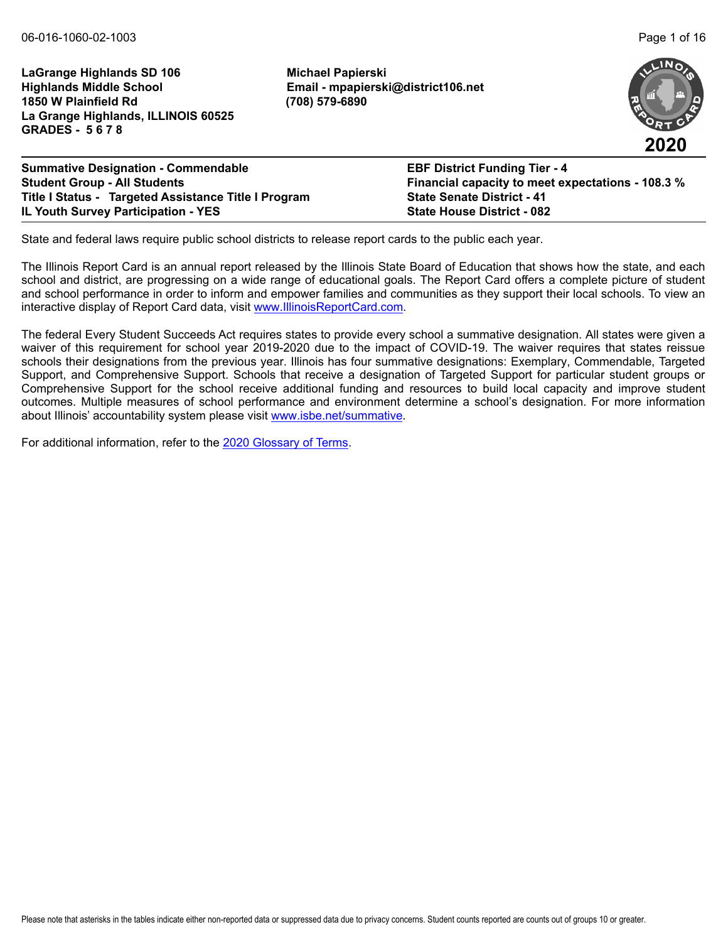**LaGrange Highlands SD 106 Michael Papierski Highlands Middle School Email - mpapierski@district106.net 1850 W Plainfield Rd (708) 579-6890 La Grange Highlands, ILLINOIS 60525 GRADES - 5 6 7 8**



| <b>Summative Designation - Commendable</b>           | <b>EBF District Funding Tier - 4</b>              |
|------------------------------------------------------|---------------------------------------------------|
| <b>Student Group - All Students</b>                  | Financial capacity to meet expectations - 108.3 % |
| Title I Status - Targeted Assistance Title I Program | <b>State Senate District - 41</b>                 |
| <b>IL Youth Survey Participation - YES</b>           | <b>State House District - 082</b>                 |

State and federal laws require public school districts to release report cards to the public each year.

The Illinois Report Card is an annual report released by the Illinois State Board of Education that shows how the state, and each school and district, are progressing on a wide range of educational goals. The Report Card offers a complete picture of student and school performance in order to inform and empower families and communities as they support their local schools. To view an interactive display of Report Card data, visit [www.IllinoisReportCard.com](https://www.illinoisreportcard.com/).

The federal Every Student Succeeds Act requires states to provide every school a summative designation. All states were given a waiver of this requirement for school year 2019-2020 due to the impact of COVID-19. The waiver requires that states reissue schools their designations from the previous year. Illinois has four summative designations: Exemplary, Commendable, Targeted Support, and Comprehensive Support. Schools that receive a designation of Targeted Support for particular student groups or Comprehensive Support for the school receive additional funding and resources to build local capacity and improve student outcomes. Multiple measures of school performance and environment determine a school's designation. For more information [about Illinois' accountabil](https://www.isbe.net/summative)ity system please visit [www.isbe.net/summative.](http://www.isbe.net/summative)

For additional information, refer to th[e 2020 Glossary of Terms.](https://www.isbe.net/Documents/2020-Glossary-of-Terms.pdf)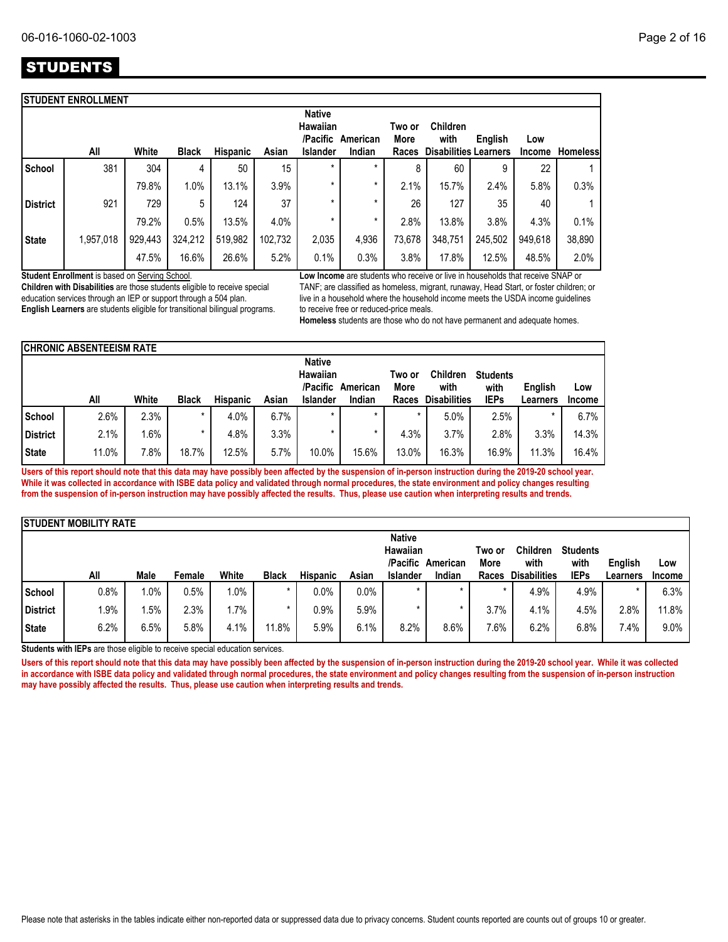|                 | <b>STUDENT ENROLLMENT</b> |         |              |                 |         |                                                   |                    |                         |                                                         |         |                      |                 |
|-----------------|---------------------------|---------|--------------|-----------------|---------|---------------------------------------------------|--------------------|-------------------------|---------------------------------------------------------|---------|----------------------|-----------------|
|                 | All                       | White   | <b>Black</b> | <b>Hispanic</b> | Asian   | <b>Native</b><br>Hawaiian<br>/Pacific<br>Islander | American<br>Indian | Two or<br>More<br>Races | <b>Children</b><br>with<br><b>Disabilities Learners</b> | English | Low<br><b>Income</b> | <b>Homeless</b> |
| <b>School</b>   | 381                       | 304     | 4            | 50              | 15      | $\star$                                           | $\star$            | 8                       | 60                                                      | 9       | 22                   |                 |
|                 |                           | 79.8%   | 1.0%         | 13.1%           | 3.9%    | $\star$                                           | $\star$            | 2.1%                    | 15.7%                                                   | 2.4%    | 5.8%                 | 0.3%            |
| <b>District</b> | 921                       | 729     | 5            | 124             | 37      | $\star$                                           | *                  | 26                      | 127                                                     | 35      | 40                   |                 |
|                 |                           | 79.2%   | 0.5%         | 13.5%           | 4.0%    | $\star$                                           | $\star$            | 2.8%                    | 13.8%                                                   | 3.8%    | 4.3%                 | 0.1%            |
| <b>State</b>    | 1,957,018                 | 929,443 | 324,212      | 519,982         | 102,732 | 2,035                                             | 4,936              | 73,678                  | 348,751                                                 | 245,502 | 949,618              | 38,890          |
|                 |                           | 47.5%   | 16.6%        | 26.6%           | 5.2%    | 0.1%                                              | 0.3%               | 3.8%                    | 17.8%                                                   | 12.5%   | 48.5%                | 2.0%            |

**Student Enrollment** is based on Serving School.

**Children with Disabilities** are those students eligible to receive special education services through an IEP or support through a 504 plan. **English Learners** are students eligible for transitional bilingual programs. **Low Income** are students who receive or live in households that receive SNAP or TANF; are classified as homeless, migrant, runaway, Head Start, or foster children; or live in a household where the household income meets the USDA income guidelines to receive free or reduced-price meals.

**Homeless** students are those who do not have permanent and adequate homes.

|               | <b>CHRONIC ABSENTEEISM RATE</b>                   |        |              |                 |       |                 |                         |                         |                     |             |          |               |
|---------------|---------------------------------------------------|--------|--------------|-----------------|-------|-----------------|-------------------------|-------------------------|---------------------|-------------|----------|---------------|
|               | <b>Native</b><br>Hawaiian<br>/Pacific<br>American |        |              |                 |       | Two or<br>More  | <b>Children</b><br>with | <b>Students</b><br>with | English             | Low         |          |               |
|               | All                                               | White  | <b>Black</b> | <b>Hispanic</b> | Asian | <b>Islander</b> | Indian                  | Races                   | <b>Disabilities</b> | <b>IEPs</b> | Learners | <b>Income</b> |
| <b>School</b> | 2.6%                                              | 2.3%   |              | 4.0%            | 6.7%  |                 | $\star$                 |                         | 5.0%                | 2.5%        |          | 6.7%          |
| District      | 2.1%                                              | $.6\%$ |              | 4.8%            | 3.3%  |                 |                         | 4.3%                    | 3.7%                | 2.8%        | 3.3%     | 14.3%         |
| <b>State</b>  | 11.0%                                             | 7.8%   | 18.7%        | 12.5%           | 5.7%  | 10.0%           | 15.6%                   | 13.0%                   | 16.3%               | 16.9%       | 11.3%    | 16.4%         |

**Users of this report should note that this data may have possibly been affected by the suspension of in-person instruction during the 2019-20 school year. While it was collected in accordance with ISBE data policy and validated through normal procedures, the state environment and policy changes resulting from the suspension of in-person instruction may have possibly affected the results. Thus, please use caution when interpreting results and trends.**

|                 | <b>ISTUDENT MOBILITY RATE</b> |         |        |         |              |                 |         |                 |          |         |                     |                 |          |               |
|-----------------|-------------------------------|---------|--------|---------|--------------|-----------------|---------|-----------------|----------|---------|---------------------|-----------------|----------|---------------|
|                 |                               |         |        |         |              |                 |         | <b>Native</b>   |          |         |                     |                 |          |               |
|                 |                               |         |        |         |              |                 |         | Hawaiian        |          | Two or  | <b>Children</b>     | <b>Students</b> |          |               |
|                 |                               |         |        |         |              |                 |         | /Pacific        | American | More    | with                | with            | English  | Low           |
|                 | All                           | Male    | Female | White   | <b>Black</b> | <b>Hispanic</b> | Asian   | <b>Islander</b> | Indian   | Races   | <b>Disabilities</b> | <b>IEPs</b>     | Learners | <b>Income</b> |
| <b>School</b>   | 0.8%                          | $1.0\%$ | 0.5%   | 1.0%    |              | 0.0%            | $0.0\%$ | $\star$         | $\star$  | $\star$ | 4.9%                | 4.9%            |          | 6.3%          |
| <b>District</b> | .9%                           | .5%     | 2.3%   | $1.7\%$ |              | 0.9%            | 5.9%    |                 |          | 3.7%    | 4.1%                | 4.5%            | 2.8%     | 11.8%         |
| <b>State</b>    | 6.2%                          | 6.5%    | 5.8%   | 4.1%    | 11.8%        | 5.9%            | 6.1%    | 8.2%            | 8.6%     | 7.6%    | 6.2%                | 6.8%            | 7.4%     | 9.0%          |

**Students with IEPs** are those eligible to receive special education services.

Users of this report should note that this data may have possibly been affected by the suspension of in-person instruction during the 2019-20 school year. While it was collected **in accordance with ISBE data policy and validated through normal procedures, the state environment and policy changes resulting from the suspension of in-person instruction may have possibly affected the results. Thus, please use caution when interpreting results and trends.**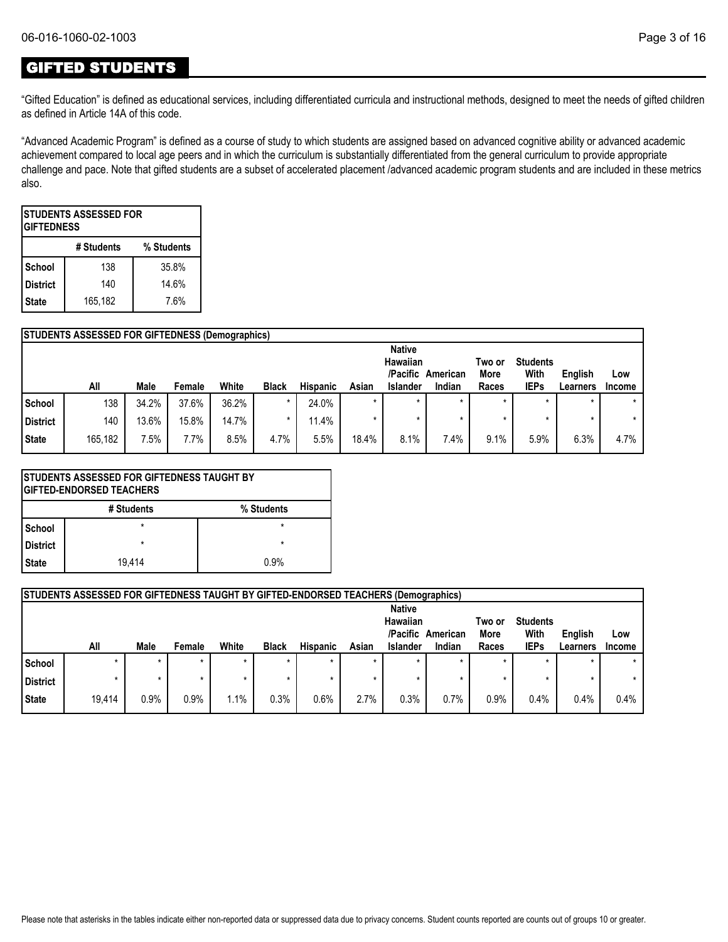## GIFTED STUDENTS

"Gifted Education" is defined as educational services, including differentiated curricula and instructional methods, designed to meet the needs of gifted children as defined in Article 14A of this code.

"Advanced Academic Program" is defined as a course of study to which students are assigned based on advanced cognitive ability or advanced academic achievement compared to local age peers and in which the curriculum is substantially differentiated from the general curriculum to provide appropriate challenge and pace. Note that gifted students are a subset of accelerated placement /advanced academic program students and are included in these metrics also.

| ISTUDENTS ASSESSED FOR<br><b>GIFTEDNESS</b> |     |       |  |  |  |  |  |  |  |  |  |
|---------------------------------------------|-----|-------|--|--|--|--|--|--|--|--|--|
| # Students<br>% Students                    |     |       |  |  |  |  |  |  |  |  |  |
| School                                      | 138 | 35.8% |  |  |  |  |  |  |  |  |  |
| <b>District</b>                             | 140 | 14.6% |  |  |  |  |  |  |  |  |  |
| 165,182<br>7.6%<br><b>State</b>             |     |       |  |  |  |  |  |  |  |  |  |

|               | <b>STUDENTS ASSESSED FOR GIFTEDNESS (Demographics)</b> |       |        |       |              |                 |         |                 |          |             |                 |          |               |
|---------------|--------------------------------------------------------|-------|--------|-------|--------------|-----------------|---------|-----------------|----------|-------------|-----------------|----------|---------------|
|               |                                                        |       |        |       |              |                 |         | <b>Native</b>   |          |             |                 |          |               |
|               |                                                        |       |        |       |              |                 |         | Hawaiian        |          | Two or      | <b>Students</b> |          |               |
|               |                                                        |       |        |       |              |                 |         | /Pacific        | American | <b>More</b> | With            | English  | LOW           |
|               | All                                                    | Male  | Female | White | <b>Black</b> | <b>Hispanic</b> | Asian   | <b>Islander</b> | Indian   | Races       | <b>IEPs</b>     | Learners | <b>Income</b> |
| <b>School</b> | 138                                                    | 34.2% | 37.6%  | 36.2% | $\star$      | 24.0%           | $\star$ |                 |          | $\star$     | $\star$         |          | $\star$       |
| District      | 140                                                    | 13.6% | 15.8%  | 14.7% | $\star$      | 11.4%           | $\star$ |                 |          | $\star$     |                 |          | $\star$       |
| State         | 165,182                                                | 7.5%  | 7.7%   | 8.5%  | 4.7%         | 5.5%            | 18.4%   | 8.1%            | 7.4%     | 9.1%        | 5.9%            | 6.3%     | 4.7%          |

|                          | <b>STUDENTS ASSESSED FOR GIFTEDNESS TAUGHT BY</b><br><b> GIFTED-ENDORSED TEACHERS</b> |         |  |  |  |  |  |  |  |  |  |
|--------------------------|---------------------------------------------------------------------------------------|---------|--|--|--|--|--|--|--|--|--|
| # Students<br>% Students |                                                                                       |         |  |  |  |  |  |  |  |  |  |
| l School                 | $\star$                                                                               | $\star$ |  |  |  |  |  |  |  |  |  |
| l District               | $\star$                                                                               | $\star$ |  |  |  |  |  |  |  |  |  |
| l State                  | 19.414                                                                                | 0.9%    |  |  |  |  |  |  |  |  |  |

|                 | <b>STUDENTS ASSESSED FOR GIFTEDNESS TAUGHT BY GIFTED-ENDORSED TEACHERS (Demographics)</b> |         |        |       |              |                 |         |                                                   |                    |                         |                                        |                     |               |
|-----------------|-------------------------------------------------------------------------------------------|---------|--------|-------|--------------|-----------------|---------|---------------------------------------------------|--------------------|-------------------------|----------------------------------------|---------------------|---------------|
|                 | All                                                                                       | Male    | Female | White | <b>Black</b> | <b>Hispanic</b> | Asian   | <b>Native</b><br>Hawaiian<br>/Pacific<br>Islander | American<br>Indian | Two or<br>More<br>Races | <b>Students</b><br>With<br><b>IEPs</b> | English<br>Learners | Low<br>Income |
| School          |                                                                                           | $\star$ |        |       | $\star$      |                 |         |                                                   |                    | $\star$                 | $\star$                                |                     |               |
| <b>District</b> |                                                                                           | $\star$ |        |       | $\star$      |                 | $\star$ |                                                   |                    |                         | $\star$                                |                     |               |
| <b>State</b>    | 19.414                                                                                    | 0.9%    | 0.9%   | 1.1%  | 0.3%         | 0.6%            | 2.7%    | 0.3%                                              | 0.7%               | 0.9%                    | 0.4%                                   | 0.4%                | 0.4%          |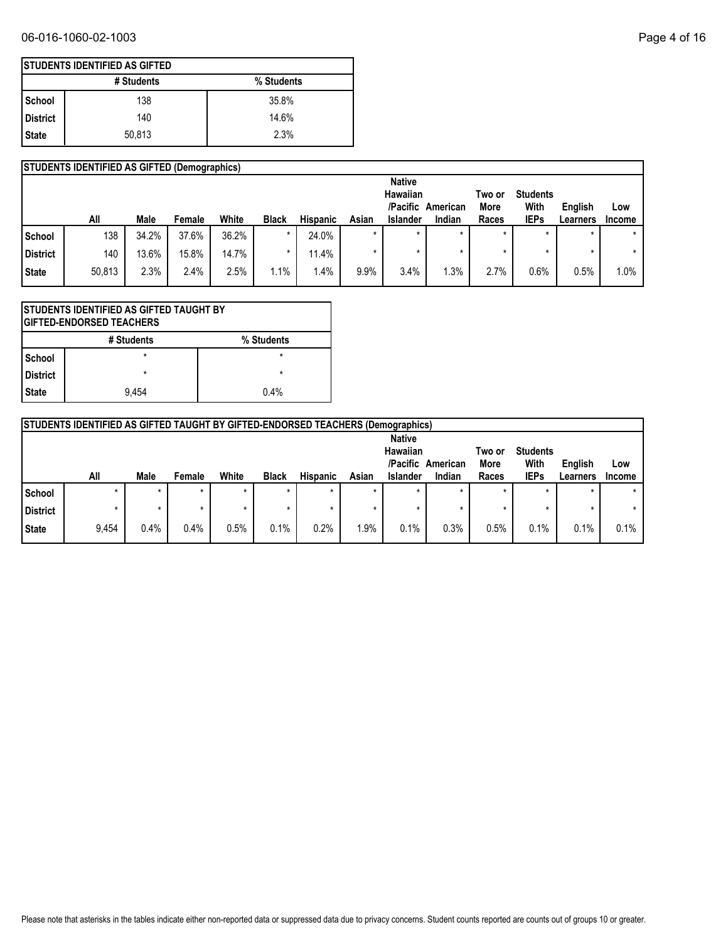|            | <b>STUDENTS IDENTIFIED AS GIFTED</b> |            |  |  |  |  |  |  |  |  |  |  |
|------------|--------------------------------------|------------|--|--|--|--|--|--|--|--|--|--|
|            | # Students                           | % Students |  |  |  |  |  |  |  |  |  |  |
| School     | 138                                  | 35.8%      |  |  |  |  |  |  |  |  |  |  |
| l District | 140                                  | 14.6%      |  |  |  |  |  |  |  |  |  |  |
| l State    | 50,813                               | 2.3%       |  |  |  |  |  |  |  |  |  |  |

|                 | <b>STUDENTS IDENTIFIED AS GIFTED (Demographics)</b> |       |        |       |              |                 |         |                           |                    |               |                     |                     |                      |
|-----------------|-----------------------------------------------------|-------|--------|-------|--------------|-----------------|---------|---------------------------|--------------------|---------------|---------------------|---------------------|----------------------|
|                 |                                                     |       |        |       |              |                 |         | <b>Native</b><br>Hawaiian |                    | Two or        | <b>Students</b>     |                     |                      |
|                 | All                                                 | Male  | Female | White | <b>Black</b> | <b>Hispanic</b> | Asian   | /Pacific<br>Islander      | American<br>Indian | More<br>Races | With<br><b>IEPs</b> | English<br>Learners | Low<br><b>Income</b> |
| School          | 138                                                 | 34.2% | 37.6%  | 36.2% | *            | 24.0%           | $\star$ | $\star$                   | $\star$            | $\star$       | $\star$             | $\star$             | $\star$              |
| <b>District</b> | 140                                                 | 13.6% | 15.8%  | 14.7% | *            | 11.4%           |         |                           |                    | *             |                     |                     | $\star$              |
| <b>State</b>    | 50,813                                              | 2.3%  | 2.4%   | 2.5%  | $1.1\%$      | .4%             | 9.9%    | 3.4%                      | 1.3%               | 2.7%          | 0.6%                | 0.5%                | $1.0\%$              |

| STUDENTS IDENTIFIED AS GIFTED TAUGHT BY<br><b>GIFTED-ENDORSED TEACHERS</b> |         |      |  |  |  |  |  |  |  |  |
|----------------------------------------------------------------------------|---------|------|--|--|--|--|--|--|--|--|
| # Students<br>% Students                                                   |         |      |  |  |  |  |  |  |  |  |
| <b>School</b>                                                              | $\star$ |      |  |  |  |  |  |  |  |  |
| District                                                                   | $\star$ | *    |  |  |  |  |  |  |  |  |
| <b>State</b>                                                               | 9.454   | 0.4% |  |  |  |  |  |  |  |  |

|                                                                                                           | <b>STUDENTS IDENTIFIED AS GIFTED TAUGHT BY GIFTED-ENDORSED TEACHERS (Demographics)</b> |         |         |       |              |                 |         |          |        |         |             |                 |               |
|-----------------------------------------------------------------------------------------------------------|----------------------------------------------------------------------------------------|---------|---------|-------|--------------|-----------------|---------|----------|--------|---------|-------------|-----------------|---------------|
| <b>Native</b><br>Hawaiian<br><b>Students</b><br>Two or<br>/Pacific<br>With<br>English<br>More<br>American |                                                                                        |         |         |       |              |                 |         |          |        |         | Low         |                 |               |
|                                                                                                           | All                                                                                    | Male    | Female  | White | <b>Black</b> | <b>Hispanic</b> | Asian   | Islander | Indian | Races   | <b>IEPs</b> | <b>Learners</b> | <b>Income</b> |
| School                                                                                                    | $\star$                                                                                | $\star$ | $\star$ | ÷     | $\star$      |                 | $\star$ | $\star$  |        | $\star$ | $\star$     | $\star$         |               |
| District                                                                                                  |                                                                                        |         |         | ÷     | ÷            |                 |         |          |        |         |             | $\star$         | $\star$       |
| <b>State</b>                                                                                              | 9.454                                                                                  | 0.4%    | 0.4%    | 0.5%  | 0.1%         | 0.2%            | 1.9%    | 0.1%     | 0.3%   | 0.5%    | 0.1%        | 0.1%            | 0.1%          |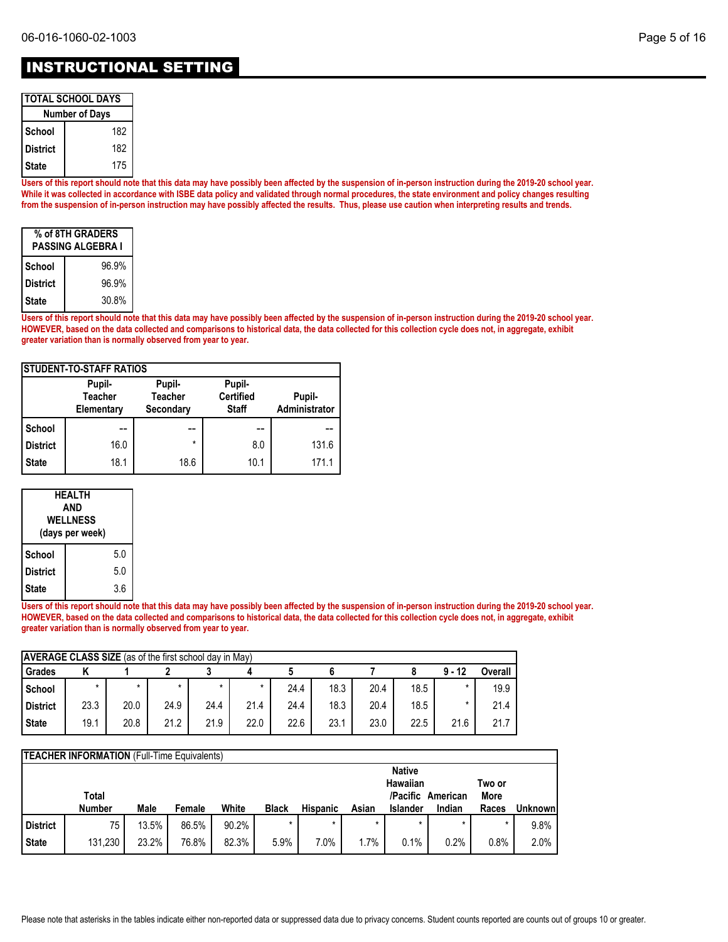| <b>ITOTAL SCHOOL DAYS</b> |  |
|---------------------------|--|
| <b>Number of Days</b>     |  |

| <b>Number of Days</b> |     |  |  |  |
|-----------------------|-----|--|--|--|
| School                | 182 |  |  |  |
| <b>District</b>       | 182 |  |  |  |
| <b>State</b>          | 175 |  |  |  |

**Users of this report should note that this data may have possibly been affected by the suspension of in-person instruction during the 2019-20 school year. While it was collected in accordance with ISBE data policy and validated through normal procedures, the state environment and policy changes resulting from the suspension of in-person instruction may have possibly affected the results. Thus, please use caution when interpreting results and trends.**

| % of 8TH GRADERS<br><b>PASSING ALGEBRA I</b> |       |  |  |  |
|----------------------------------------------|-------|--|--|--|
| School                                       | 96.9% |  |  |  |
| <b>District</b>                              | 96.9% |  |  |  |
| <b>State</b>                                 | 30.8% |  |  |  |

**Users of this report should note that this data may have possibly been affected by the suspension of in-person instruction during the 2019-20 school year. HOWEVER, based on the data collected and comparisons to historical data, the data collected for this collection cycle does not, in aggregate, exhibit greater variation than is normally observed from year to year.**

| <b>STUDENT-TO-STAFF RATIOS</b> |                                        |                                       |                                            |                         |  |  |  |  |
|--------------------------------|----------------------------------------|---------------------------------------|--------------------------------------------|-------------------------|--|--|--|--|
|                                | Pupil-<br><b>Teacher</b><br>Elementary | Pupil-<br><b>Teacher</b><br>Secondary | Pupil-<br><b>Certified</b><br><b>Staff</b> | Pupil-<br>Administrator |  |  |  |  |
| School                         |                                        |                                       |                                            |                         |  |  |  |  |
| <b>District</b>                | 16.0                                   | *                                     | 8.0                                        | 131.6                   |  |  |  |  |
| <b>State</b>                   | 18.1                                   | 18.6                                  | 10.1                                       | 171.1                   |  |  |  |  |

| <b>HEALTH</b><br>AND<br><b>WELLNESS</b><br>(days per week) |     |  |  |  |
|------------------------------------------------------------|-----|--|--|--|
| School                                                     | 5.0 |  |  |  |
| <b>District</b>                                            | 5.0 |  |  |  |
| <b>State</b>                                               | 3.6 |  |  |  |

**Users of this report should note that this data may have possibly been affected by the suspension of in-person instruction during the 2019-20 school year. HOWEVER, based on the data collected and comparisons to historical data, the data collected for this collection cycle does not, in aggregate, exhibit greater variation than is normally observed from year to year.**

| <b>AVERAGE CLASS SIZE</b> (as of the first school day in May) |      |      |         |      |      |      |      |      |      |          |         |
|---------------------------------------------------------------|------|------|---------|------|------|------|------|------|------|----------|---------|
| Grades                                                        |      |      |         |      |      |      |      |      |      | $9 - 12$ | Overall |
| School                                                        | ٠    |      | $\star$ |      |      | 24.4 | 18.3 | 20.4 | 18.5 |          | 19.9    |
| <b>District</b>                                               | 23.3 | 20.0 | 24.9    | 24.4 | 21.4 | 24.4 | 18.3 | 20.4 | 18.5 |          | 21.4    |
| <b>State</b>                                                  | 19.1 | 20.8 | 21.2    | 21.9 | 22.0 | 22.6 | 23.1 | 23.0 | 22.5 | 21.6     | 21.7    |

|                 | <b>TEACHER INFORMATION</b> (Full-Time Equivalents) |       |        |       |              |                 |         |                 |                   |        |          |
|-----------------|----------------------------------------------------|-------|--------|-------|--------------|-----------------|---------|-----------------|-------------------|--------|----------|
|                 |                                                    |       |        |       |              |                 |         | <b>Native</b>   |                   |        |          |
|                 |                                                    |       |        |       |              |                 |         | <b>Hawaiian</b> |                   | Two or |          |
|                 | Total                                              |       |        |       |              |                 |         |                 | /Pacific American | More   |          |
|                 | <b>Number</b>                                      | Male  | Female | White | <b>Black</b> | <b>Hispanic</b> | Asian   | <b>Islander</b> | Indian            | Races  | Unknownl |
| <b>District</b> | 75                                                 | 13.5% | 86.5%  | 90.2% | $\star$      | $\star$         | $\star$ | $\star$         |                   |        | 9.8%     |
| <b>State</b>    | 131,230                                            | 23.2% | 76.8%  | 82.3% | 5.9%         | 7.0%            | 1.7%    | 0.1%            | 0.2%              | 0.8%   | 2.0%     |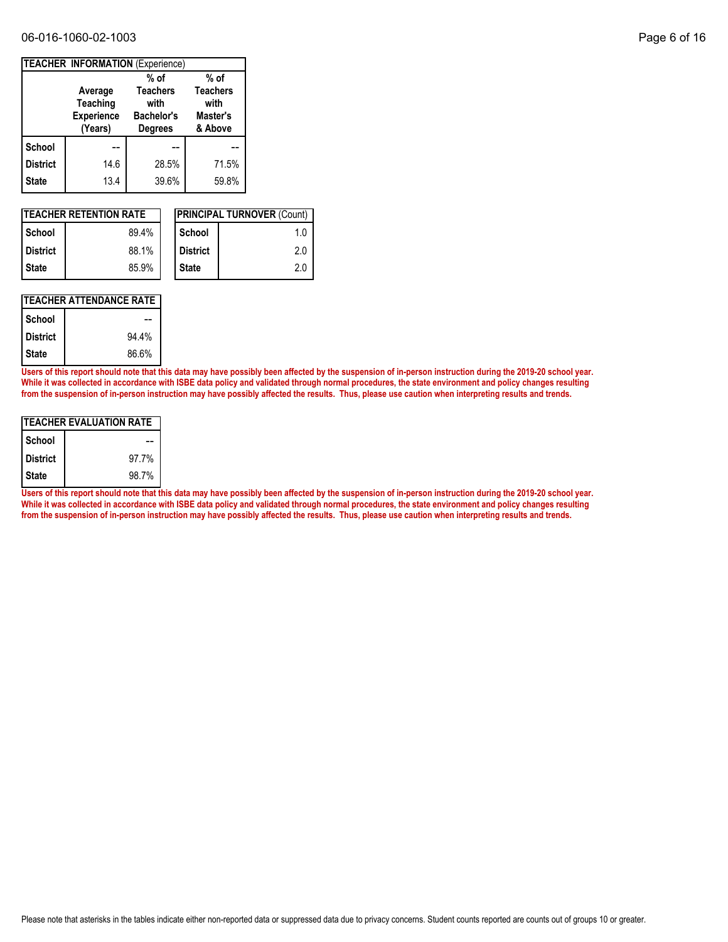#### 06-016-1060-02-1003 Page 6 of 16

|                 |                                                     | <b>TEACHER INFORMATION (Experience)</b>                        |                                                |
|-----------------|-----------------------------------------------------|----------------------------------------------------------------|------------------------------------------------|
|                 |                                                     | $%$ of                                                         | $%$ of                                         |
|                 | Average<br>Teaching<br><b>Experience</b><br>(Years) | <b>Teachers</b><br>with<br><b>Bachelor's</b><br><b>Degrees</b> | <b>Teachers</b><br>with<br>Master's<br>& Above |
| School          |                                                     |                                                                |                                                |
| <b>District</b> | 14.6                                                | 28.5%                                                          | 71.5%                                          |
| <b>State</b>    | 13.4                                                | 39.6%                                                          | 59.8%                                          |

| <b>ITEACHER RETENTION RATE</b> |       |  |                 | <b>PRINCIPAL TURNOVER (Count)</b> |
|--------------------------------|-------|--|-----------------|-----------------------------------|
| <b>School</b>                  | 89.4% |  | School          | 1.0                               |
| <b>District</b>                | 88.1% |  | <b>District</b> | 2.0                               |
| l State                        | 85.9% |  | <b>State</b>    | 2.0                               |

## **TEACHER ATTENDANCE RATE**

| School          |       |
|-----------------|-------|
| <b>District</b> | 94.4% |
| <b>State</b>    | 86.6% |

**Users of this report should note that this data may have possibly been affected by the suspension of in-person instruction during the 2019-20 school year. While it was collected in accordance with ISBE data policy and validated through normal procedures, the state environment and policy changes resulting from the suspension of in-person instruction may have possibly affected the results. Thus, please use caution when interpreting results and trends.**

| ITEACHER EVALUATION RATE |       |  |  |  |  |
|--------------------------|-------|--|--|--|--|
| School                   |       |  |  |  |  |
| <b>District</b>          | 97.7% |  |  |  |  |
| State                    | 98.7% |  |  |  |  |

**Users of this report should note that this data may have possibly been affected by the suspension of in-person instruction during the 2019-20 school year. While it was collected in accordance with ISBE data policy and validated through normal procedures, the state environment and policy changes resulting from the suspension of in-person instruction may have possibly affected the results. Thus, please use caution when interpreting results and trends.**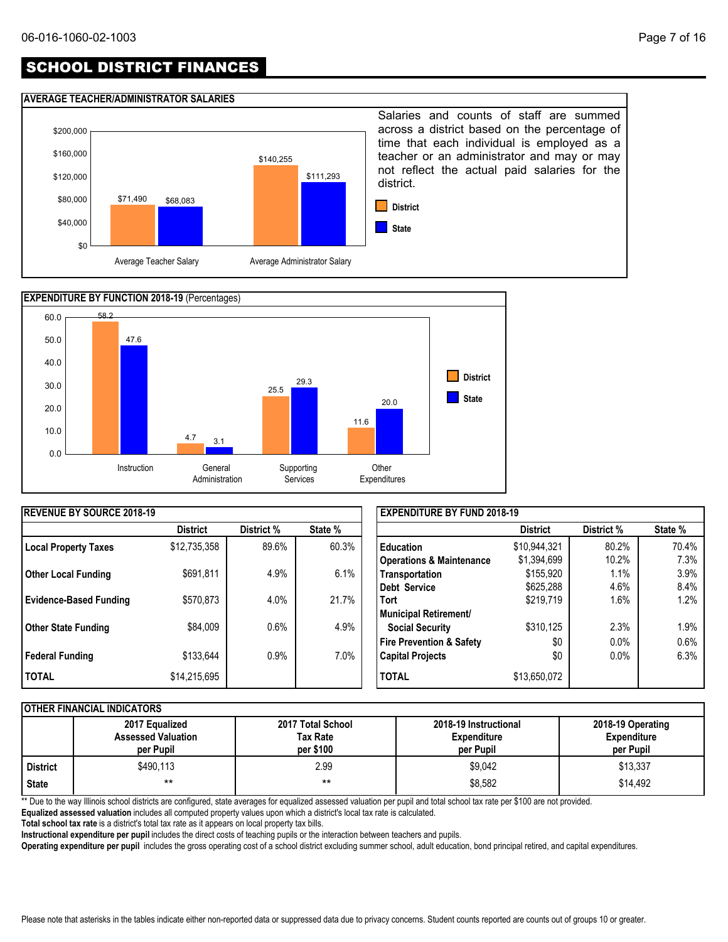# SCHOOL DISTRICT FINANCES

#### **AVERAGE TEACHER/ADMINISTRATOR SALARIES**





| <b>REVENUE BY SOURCE 2018-19</b> |                 |            |         | <b>EXPENDITURE BY FUND 2018-19</b>  |                 |            |         |  |
|----------------------------------|-----------------|------------|---------|-------------------------------------|-----------------|------------|---------|--|
|                                  | <b>District</b> | District % | State % |                                     | <b>District</b> | District % | State % |  |
| Local Property Taxes             | \$12,735,358    | 89.6%      | 60.3%   | <b>Education</b>                    | \$10,944,321    | 80.2%      | 70.4%   |  |
|                                  |                 |            |         | <b>Operations &amp; Maintenance</b> | \$1,394,699     | 10.2%      | 7.3%    |  |
| <b>Other Local Funding</b>       | \$691,811       | 4.9%       | 6.1%    | Transportation                      | \$155,920       | 1.1%       | 3.9%    |  |
|                                  |                 |            |         | Debt Service                        | \$625,288       | 4.6%       | 8.4%    |  |
| <b>Evidence-Based Funding</b>    | \$570,873       | 4.0%       | 21.7%   | <b>Tort</b>                         | \$219,719       | 1.6%       | 1.2%    |  |
|                                  |                 |            |         | Municipal Retirement/               |                 |            |         |  |
| <b>Other State Funding</b>       | \$84,009        | 0.6%       | 4.9%    | <b>Social Security</b>              | \$310,125       | 2.3%       | 1.9%    |  |
|                                  |                 |            |         | <b>Fire Prevention &amp; Safety</b> | \$0             | 0.0%       | 0.6%    |  |
| Federal Funding                  | \$133,644       | $0.9\%$    | 7.0%    | <b>Capital Projects</b>             | \$0             | 0.0%       | 6.3%    |  |
| <b>TOTAL</b>                     | \$14,215,695    |            |         | <b>TOTAL</b>                        | \$13,650,072    |            |         |  |

#### **OTHER FINANCIAL INDICATORS**

|          | 2017 Equalized<br><b>Assessed Valuation</b><br>per Pupil | 2017 Total School<br>Tax Rate<br>per \$100 | 2018-19 Instructional<br><b>Expenditure</b><br>per Pupil | 2018-19 Operating<br><b>Expenditure</b><br>per Pupil |
|----------|----------------------------------------------------------|--------------------------------------------|----------------------------------------------------------|------------------------------------------------------|
| District | \$490,113                                                | 2.99                                       | \$9,042                                                  | \$13,337                                             |
| State    | $***$                                                    | $***$                                      | \$8,582                                                  | \$14,492                                             |

\*\* Due to the way Illinois school districts are configured, state averages for equalized assessed valuation per pupil and total school tax rate per \$100 are not provided.

**Equalized assessed valuation** includes all computed property values upon which a district's local tax rate is calculated.

**Total school tax rate** is a district's total tax rate as it appears on local property tax bills.

**Instructional expenditure per pupil** includes the direct costs of teaching pupils or the interaction between teachers and pupils.

**Operating expenditure per pupil** includes the gross operating cost of a school district excluding summer school, adult education, bond principal retired, and capital expenditures.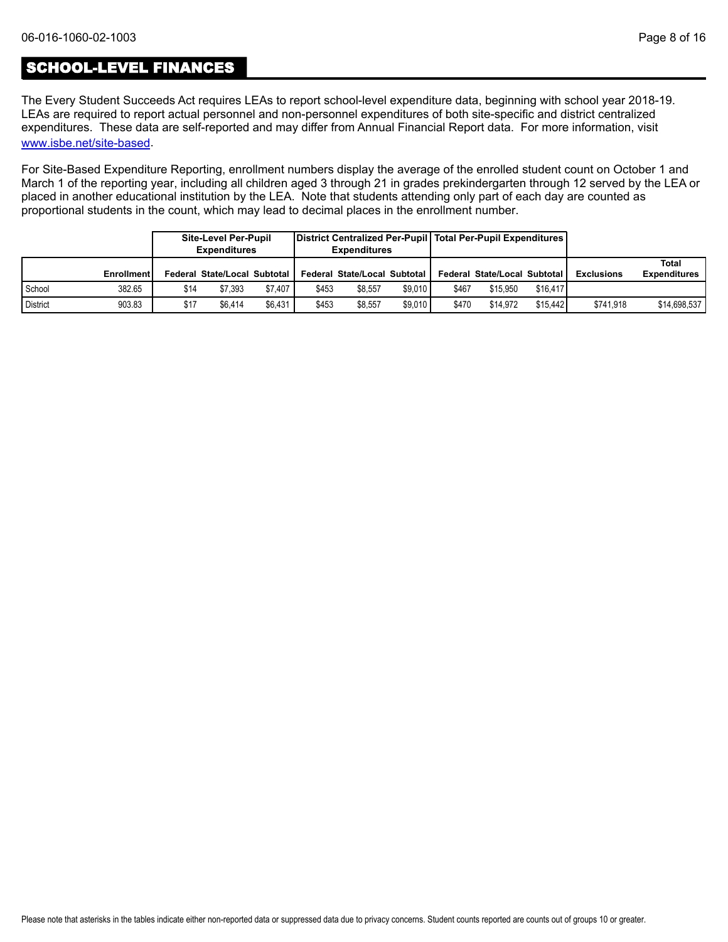## SCHOOL-LEVEL FINANCES

[www.isbe.net/site-based](https://www.isbe.net/site-based). The Every Student Succeeds Act requires LEAs to report school-level expenditure data, beginning with school year 2018-19. LEAs are required to report actual personnel and non-personnel expenditures of both site-specific and district centralized expenditures. These data are self-reported and may differ from Annual Financial Report data. For more information, visit

For Site-Based Expenditure Reporting, enrollment numbers display the average of the enrolled student count on October 1 and March 1 of the reporting year, including all children aged 3 through 21 in grades prekindergarten through 12 served by the LEA or placed in another educational institution by the LEA. Note that students attending only part of each day are counted as proportional students in the count, which may lead to decimal places in the enrollment number.

|                 |                   |      | <b>Site-Level Per-Pupil</b><br><b>Expenditures</b> |         |       | District Centralized Per-Pupil   Total Per-Pupil Expenditures  <br><b>Expenditures</b> |         |       |                              |          |                   |                              |
|-----------------|-------------------|------|----------------------------------------------------|---------|-------|----------------------------------------------------------------------------------------|---------|-------|------------------------------|----------|-------------------|------------------------------|
|                 | <b>Enrollment</b> |      | Federal State/Local Subtotal I                     |         |       | Federal State/Local Subtotal                                                           |         |       | Federal State/Local Subtotal |          | <b>Exclusions</b> | Total<br><b>Expenditures</b> |
| School          | 382.65            | \$14 | \$7.393                                            | \$7.407 | \$453 | \$8.557                                                                                | \$9.010 | \$467 | \$15.950                     | \$16.417 |                   |                              |
| <b>District</b> | 903.83            | \$17 | \$6.414                                            | \$6.431 | \$453 | \$8.557                                                                                | \$9.010 | \$470 | \$14.972                     | \$15.442 | \$741.918         | \$14,698,537                 |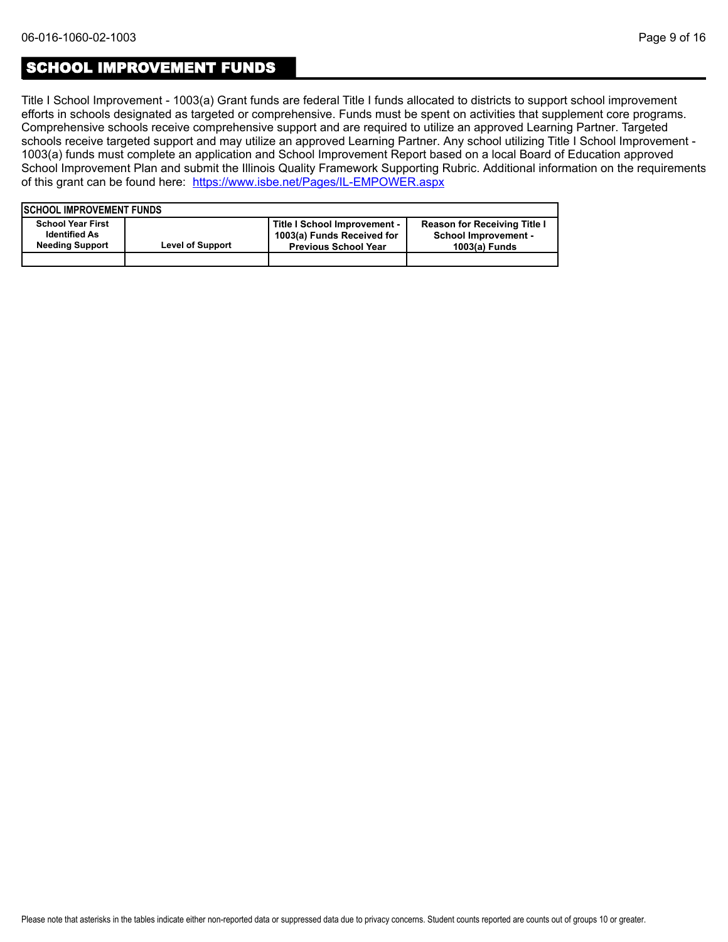## SCHOOL IMPROVEMENT FUNDS

Title I School Improvement - 1003(a) Grant funds are federal Title I funds allocated to districts to support school improvement efforts in schools designated as targeted or comprehensive. Funds must be spent on activities that supplement core programs. Comprehensive schools receive comprehensive support and are required to utilize an approved Learning Partner. Targeted schools receive targeted support and may utilize an approved Learning Partner. Any school utilizing Title I School Improvement - 1003(a) funds must complete an application and School Improvement Report based on a local Board of Education approved School Improvement Plan and submit the Illinois Quality Framework Supporting Rubric. Additional information on the requirements of this grant can be found here:<https://www.isbe.net/Pages/IL-EMPOWER.aspx>

| <b>ISCHOOL IMPROVEMENT FUNDS</b>                                           |                         |                                                                                           |                                                                                     |
|----------------------------------------------------------------------------|-------------------------|-------------------------------------------------------------------------------------------|-------------------------------------------------------------------------------------|
| <b>School Year First</b><br><b>Identified As</b><br><b>Needing Support</b> | <b>Level of Support</b> | Title I School Improvement -<br>1003(a) Funds Received for<br><b>Previous School Year</b> | <b>Reason for Receiving Title I</b><br><b>School Improvement -</b><br>1003(a) Funds |
|                                                                            |                         |                                                                                           |                                                                                     |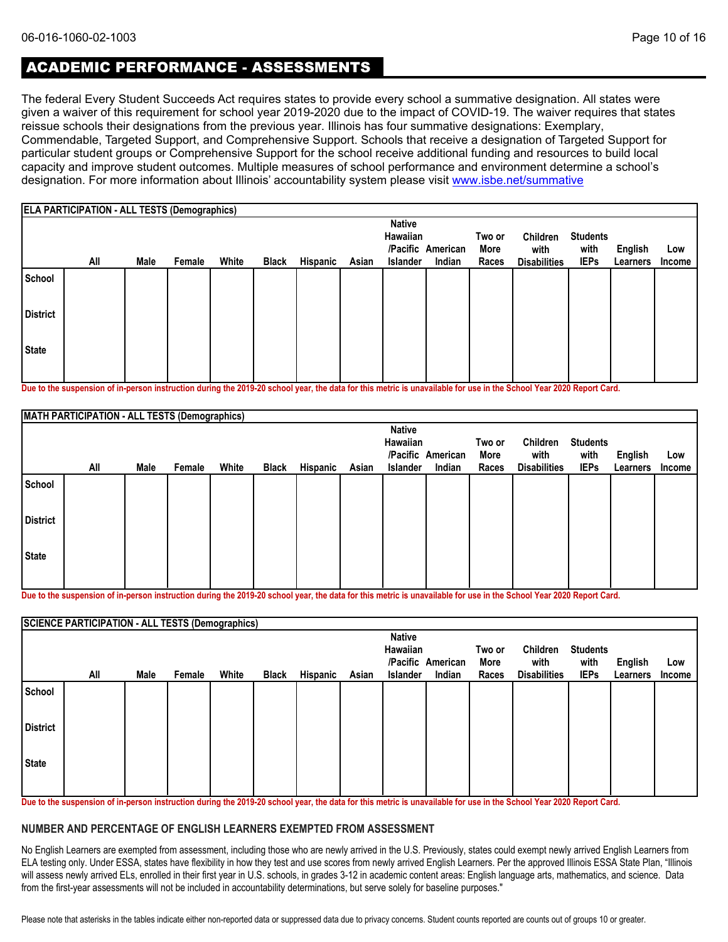# ACADEMIC PERFORMANCE - ASSESSMENTS

The federal Every Student Succeeds Act requires states to provide every school a summative designation. All states were given a waiver of this requirement for school year 2019-2020 due to the impact of COVID-19. The waiver requires that states reissue schools their designations from the previous year. Illinois has four summative designations: Exemplary, Commendable, Targeted Support, and Comprehensive Support. Schools that receive a designation of Targeted Support for particular student groups or Comprehensive Support for the school receive additional funding and resources to build local capacity and improve student outcomes. Multiple measures of school performance and environment determine a school's designation. For more information about Illinois' accountability system please visit [www.isbe.net/summative](http://www.isbe.net/summative)

|                 | <b>ELA PARTICIPATION - ALL TESTS (Demographics)</b> |      |        |       |              |          |       |                                       |                             |                         |                                         |                                        |                     |                      |
|-----------------|-----------------------------------------------------|------|--------|-------|--------------|----------|-------|---------------------------------------|-----------------------------|-------------------------|-----------------------------------------|----------------------------------------|---------------------|----------------------|
|                 | All                                                 | Male | Female | White | <b>Black</b> | Hispanic | Asian | <b>Native</b><br>Hawaiian<br>Islander | /Pacific American<br>Indian | Two or<br>More<br>Races | Children<br>with<br><b>Disabilities</b> | <b>Students</b><br>with<br><b>IEPs</b> | English<br>Learners | Low<br><b>Income</b> |
| School          |                                                     |      |        |       |              |          |       |                                       |                             |                         |                                         |                                        |                     |                      |
| <b>District</b> |                                                     |      |        |       |              |          |       |                                       |                             |                         |                                         |                                        |                     |                      |
| <b>State</b>    |                                                     |      |        |       |              |          |       |                                       |                             |                         |                                         |                                        |                     |                      |

**Due to the suspension of in-person instruction during the 2019-20 school year, the data for this metric is unavailable for use in the School Year 2020 Report Card.**

|                 | MATH PARTICIPATION - ALL TESTS (Demographics) |      |        |       |              |          |       |                           |                   |        |                     |                 |          |        |
|-----------------|-----------------------------------------------|------|--------|-------|--------------|----------|-------|---------------------------|-------------------|--------|---------------------|-----------------|----------|--------|
|                 |                                               |      |        |       |              |          |       | <b>Native</b><br>Hawaiian |                   | Two or | Children            | <b>Students</b> |          |        |
|                 |                                               |      |        |       |              |          |       |                           | /Pacific American | More   | with                | with            | English  | Low    |
|                 | All                                           | Male | Female | White | <b>Black</b> | Hispanic | Asian | Islander                  | Indian            | Races  | <b>Disabilities</b> | <b>IEPs</b>     | Learners | Income |
| School          |                                               |      |        |       |              |          |       |                           |                   |        |                     |                 |          |        |
| <b>District</b> |                                               |      |        |       |              |          |       |                           |                   |        |                     |                 |          |        |
| State           |                                               |      |        |       |              |          |       |                           |                   |        |                     |                 |          |        |
|                 |                                               |      |        |       |              |          |       |                           |                   |        |                     |                 |          |        |

**Due to the suspension of in-person instruction during the 2019-20 school year, the data for this metric is unavailable for use in the School Year 2020 Report Card.**

|                 | <b>SCIENCE PARTICIPATION - ALL TESTS (Demographics)</b> |      |        |       |       |          |       |                 |                   |        |                     |                 |          |        |
|-----------------|---------------------------------------------------------|------|--------|-------|-------|----------|-------|-----------------|-------------------|--------|---------------------|-----------------|----------|--------|
|                 |                                                         |      |        |       |       |          |       | <b>Native</b>   |                   |        |                     |                 |          |        |
|                 |                                                         |      |        |       |       |          |       | Hawaiian        |                   | Two or | Children            | <b>Students</b> |          |        |
|                 |                                                         |      |        |       |       |          |       |                 | /Pacific American | More   | with                | with            | English  | Low    |
|                 | All                                                     | Male | Female | White | Black | Hispanic | Asian | <b>Islander</b> | Indian            | Races  | <b>Disabilities</b> | <b>IEPs</b>     | Learners | Income |
| School          |                                                         |      |        |       |       |          |       |                 |                   |        |                     |                 |          |        |
| <b>District</b> |                                                         |      |        |       |       |          |       |                 |                   |        |                     |                 |          |        |
| State           |                                                         |      |        |       |       |          |       |                 |                   |        |                     |                 |          |        |
|                 |                                                         |      |        |       |       |          |       |                 |                   |        |                     |                 |          |        |

**Due to the suspension of in-person instruction during the 2019-20 school year, the data for this metric is unavailable for use in the School Year 2020 Report Card.**

#### **NUMBER AND PERCENTAGE OF ENGLISH LEARNERS EXEMPTED FROM ASSESSMENT**

No English Learners are exempted from assessment, including those who are newly arrived in the U.S. Previously, states could exempt newly arrived English Learners from ELA testing only. Under ESSA, states have flexibility in how they test and use scores from newly arrived English Learners. Per the approved Illinois ESSA State Plan, "Illinois will assess newly arrived ELs, enrolled in their first year in U.S. schools, in grades 3-12 in academic content areas: English language arts, mathematics, and science. Data from the first-year assessments will not be included in accountability determinations, but serve solely for baseline purposes."

Please note that asterisks in the tables indicate either non-reported data or suppressed data due to privacy concerns. Student counts reported are counts out of groups 10 or greater.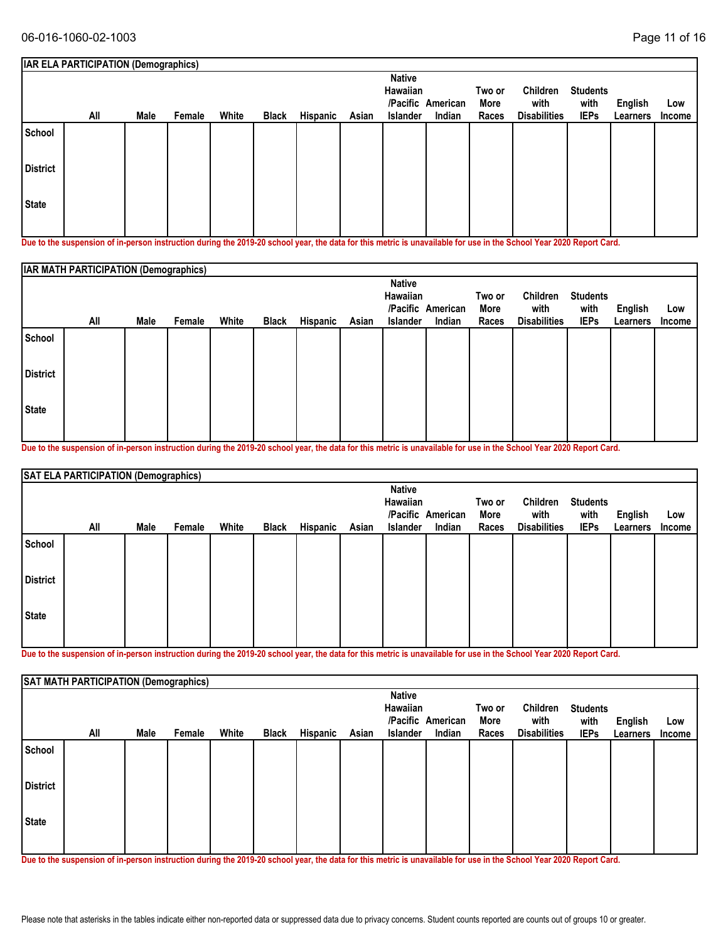|                        | <b>IAR ELA PARTICIPATION (Demographics)</b> |      |        |       |              |                                                                                                                                                                                                                                   |       |                                       |                             |                         |                                                                           |                                        |                     |                      |
|------------------------|---------------------------------------------|------|--------|-------|--------------|-----------------------------------------------------------------------------------------------------------------------------------------------------------------------------------------------------------------------------------|-------|---------------------------------------|-----------------------------|-------------------------|---------------------------------------------------------------------------|----------------------------------------|---------------------|----------------------|
|                        | All                                         | Male | Female | White | <b>Black</b> | Hispanic                                                                                                                                                                                                                          | Asian | <b>Native</b><br>Hawaiian<br>Islander | /Pacific American<br>Indian | Two or<br>More<br>Races | <b>Children</b><br>with<br><b>Disabilities</b>                            | <b>Students</b><br>with<br><b>IEPs</b> | English<br>Learners | Low<br><b>Income</b> |
| School                 |                                             |      |        |       |              |                                                                                                                                                                                                                                   |       |                                       |                             |                         |                                                                           |                                        |                     |                      |
| <b>District</b>        |                                             |      |        |       |              |                                                                                                                                                                                                                                   |       |                                       |                             |                         |                                                                           |                                        |                     |                      |
| <b>State</b><br>-<br>. | $\cdots$                                    |      |        |       |              | $\mathbf{r}$ , and the state of the state of the state of the state of the state of the state of the state of the state of the state of the state of the state of the state of the state of the state of the state of the state o |       | .                                     | $\cdots$                    |                         | $\mathbf{r}$ and $\mathbf{r}$ and $\mathbf{r}$ and $\mathbf{r}$<br>$\sim$ | .                                      |                     |                      |

|                 | IAR MATH PARTICIPATION (Demographics) |      |        |       |              |          |       |                                              |                             |                         |                                         |                                        |                            |                      |
|-----------------|---------------------------------------|------|--------|-------|--------------|----------|-------|----------------------------------------------|-----------------------------|-------------------------|-----------------------------------------|----------------------------------------|----------------------------|----------------------|
|                 | All                                   | Male | Female | White | <b>Black</b> | Hispanic | Asian | <b>Native</b><br>Hawaiian<br><b>Islander</b> | /Pacific American<br>Indian | Two or<br>More<br>Races | Children<br>with<br><b>Disabilities</b> | <b>Students</b><br>with<br><b>IEPs</b> | <b>English</b><br>Learners | Low<br><b>Income</b> |
| School          |                                       |      |        |       |              |          |       |                                              |                             |                         |                                         |                                        |                            |                      |
| <b>District</b> |                                       |      |        |       |              |          |       |                                              |                             |                         |                                         |                                        |                            |                      |
| <b>State</b>    |                                       |      |        |       |              |          |       |                                              |                             |                         |                                         |                                        |                            |                      |

**Due to the suspension of in-person instruction during the 2019-20 school year, the data for this metric is unavailable for use in the School Year 2020 Report Card.**

|                 | SAT ELA PARTICIPATION (Demographics) |             |        |       |              |          |       |                                       |                             |                         |                                         |                                        |                     |               |
|-----------------|--------------------------------------|-------------|--------|-------|--------------|----------|-------|---------------------------------------|-----------------------------|-------------------------|-----------------------------------------|----------------------------------------|---------------------|---------------|
|                 | All                                  | <b>Male</b> | Female | White | <b>Black</b> | Hispanic | Asian | <b>Native</b><br>Hawaiian<br>Islander | /Pacific American<br>Indian | Two or<br>More<br>Races | Children<br>with<br><b>Disabilities</b> | <b>Students</b><br>with<br><b>IEPs</b> | English<br>Learners | Low<br>Income |
| School          |                                      |             |        |       |              |          |       |                                       |                             |                         |                                         |                                        |                     |               |
| <b>District</b> |                                      |             |        |       |              |          |       |                                       |                             |                         |                                         |                                        |                     |               |
| <b>State</b>    |                                      |             |        |       |              |          |       |                                       |                             |                         |                                         |                                        |                     |               |

**Due to the suspension of in-person instruction during the 2019-20 school year, the data for this metric is unavailable for use in the School Year 2020 Report Card.**

|                 | SAT MATH PARTICIPATION (Demographics) |      |        |       |              |          |       |                                       |                             |                         |                                         |                                        |                     |               |
|-----------------|---------------------------------------|------|--------|-------|--------------|----------|-------|---------------------------------------|-----------------------------|-------------------------|-----------------------------------------|----------------------------------------|---------------------|---------------|
|                 | All                                   | Male | Female | White | <b>Black</b> | Hispanic | Asian | <b>Native</b><br>Hawaiian<br>Islander | /Pacific American<br>Indian | Two or<br>More<br>Races | Children<br>with<br><b>Disabilities</b> | <b>Students</b><br>with<br><b>IEPs</b> | English<br>Learners | Low<br>Income |
| School          |                                       |      |        |       |              |          |       |                                       |                             |                         |                                         |                                        |                     |               |
| <b>District</b> |                                       |      |        |       |              |          |       |                                       |                             |                         |                                         |                                        |                     |               |
| <b>State</b>    |                                       |      |        |       |              |          |       |                                       |                             |                         |                                         |                                        |                     |               |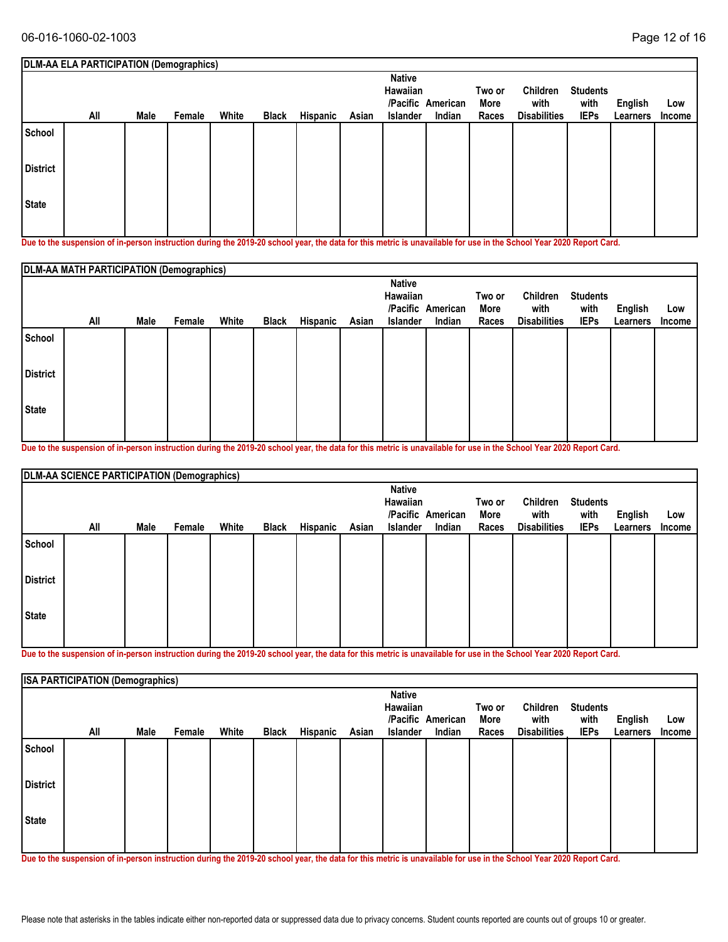|                 | DLM-AA ELA PARTICIPATION (Demographics)                                                                                                                                                                                             |      |        |       |              |          |       | <b>Native</b><br>Hawaiian |                             | Two or        | Children                    | <b>Students</b>     |                     |               |
|-----------------|-------------------------------------------------------------------------------------------------------------------------------------------------------------------------------------------------------------------------------------|------|--------|-------|--------------|----------|-------|---------------------------|-----------------------------|---------------|-----------------------------|---------------------|---------------------|---------------|
|                 | All                                                                                                                                                                                                                                 | Male | Female | White | <b>Black</b> | Hispanic | Asian | Islander                  | /Pacific American<br>Indian | More<br>Races | with<br><b>Disabilities</b> | with<br><b>IEPs</b> | English<br>Learners | Low<br>Income |
| School          |                                                                                                                                                                                                                                     |      |        |       |              |          |       |                           |                             |               |                             |                     |                     |               |
| <b>District</b> |                                                                                                                                                                                                                                     |      |        |       |              |          |       |                           |                             |               |                             |                     |                     |               |
| <b>State</b>    |                                                                                                                                                                                                                                     |      |        |       |              |          |       |                           |                             |               |                             |                     |                     |               |
|                 | <b>N</b> School Construction of the construction of the AAA AA subscribed as absoluted by a selection of the Construction of Action Action of Action Action of Action of Action of Action of Action of Action of Action of Action o |      |        |       |              |          |       |                           |                             |               |                             |                     |                     |               |

|                 | DLM-AA MATH PARTICIPATION (Demographics) |      |        |       |              |          |       |                                       |                             |                         |                                         |                                        |                     |                      |
|-----------------|------------------------------------------|------|--------|-------|--------------|----------|-------|---------------------------------------|-----------------------------|-------------------------|-----------------------------------------|----------------------------------------|---------------------|----------------------|
|                 | All                                      | Male | Female | White | <b>Black</b> | Hispanic | Asian | <b>Native</b><br>Hawaiian<br>Islander | /Pacific American<br>Indian | Two or<br>More<br>Races | Children<br>with<br><b>Disabilities</b> | <b>Students</b><br>with<br><b>IEPs</b> | English<br>Learners | Low<br><b>Income</b> |
| School          |                                          |      |        |       |              |          |       |                                       |                             |                         |                                         |                                        |                     |                      |
| <b>District</b> |                                          |      |        |       |              |          |       |                                       |                             |                         |                                         |                                        |                     |                      |
| <b>State</b>    |                                          |      |        |       |              |          |       |                                       |                             |                         |                                         |                                        |                     |                      |

**Due to the suspension of in-person instruction during the 2019-20 school year, the data for this metric is unavailable for use in the School Year 2020 Report Card.**

|                 | DLM-AA SCIENCE PARTICIPATION (Demographics) |      |        |       |              |          |       |                 |                   |        |                     |                 |          |               |
|-----------------|---------------------------------------------|------|--------|-------|--------------|----------|-------|-----------------|-------------------|--------|---------------------|-----------------|----------|---------------|
|                 |                                             |      |        |       |              |          |       | <b>Native</b>   |                   |        |                     |                 |          |               |
|                 |                                             |      |        |       |              |          |       | Hawaiian        |                   | Two or | Children            | <b>Students</b> |          |               |
|                 |                                             |      |        |       |              |          |       |                 | /Pacific American | More   | with                | with            | English  | Low           |
|                 | All                                         | Male | Female | White | <b>Black</b> | Hispanic | Asian | <b>Islander</b> | Indian            | Races  | <b>Disabilities</b> | <b>IEPs</b>     | Learners | <b>Income</b> |
| School          |                                             |      |        |       |              |          |       |                 |                   |        |                     |                 |          |               |
| <b>District</b> |                                             |      |        |       |              |          |       |                 |                   |        |                     |                 |          |               |
| <b>State</b>    |                                             |      |        |       |              |          |       |                 |                   |        |                     |                 |          |               |
|                 |                                             |      |        |       |              |          |       |                 |                   |        |                     |                 |          |               |

**Due to the suspension of in-person instruction during the 2019-20 school year, the data for this metric is unavailable for use in the School Year 2020 Report Card.**

|                 | <b>ISA PARTICIPATION (Demographics)</b> |      |        |       |              |          |       |                                       |                             |                         |                                         |                                        |                     |               |
|-----------------|-----------------------------------------|------|--------|-------|--------------|----------|-------|---------------------------------------|-----------------------------|-------------------------|-----------------------------------------|----------------------------------------|---------------------|---------------|
|                 | All                                     | Male | Female | White | <b>Black</b> | Hispanic | Asian | <b>Native</b><br>Hawaiian<br>Islander | /Pacific American<br>Indian | Two or<br>More<br>Races | Children<br>with<br><b>Disabilities</b> | <b>Students</b><br>with<br><b>IEPs</b> | English<br>Learners | Low<br>Income |
| School          |                                         |      |        |       |              |          |       |                                       |                             |                         |                                         |                                        |                     |               |
| <b>District</b> |                                         |      |        |       |              |          |       |                                       |                             |                         |                                         |                                        |                     |               |
| State           |                                         |      |        |       |              |          |       |                                       |                             |                         |                                         |                                        |                     |               |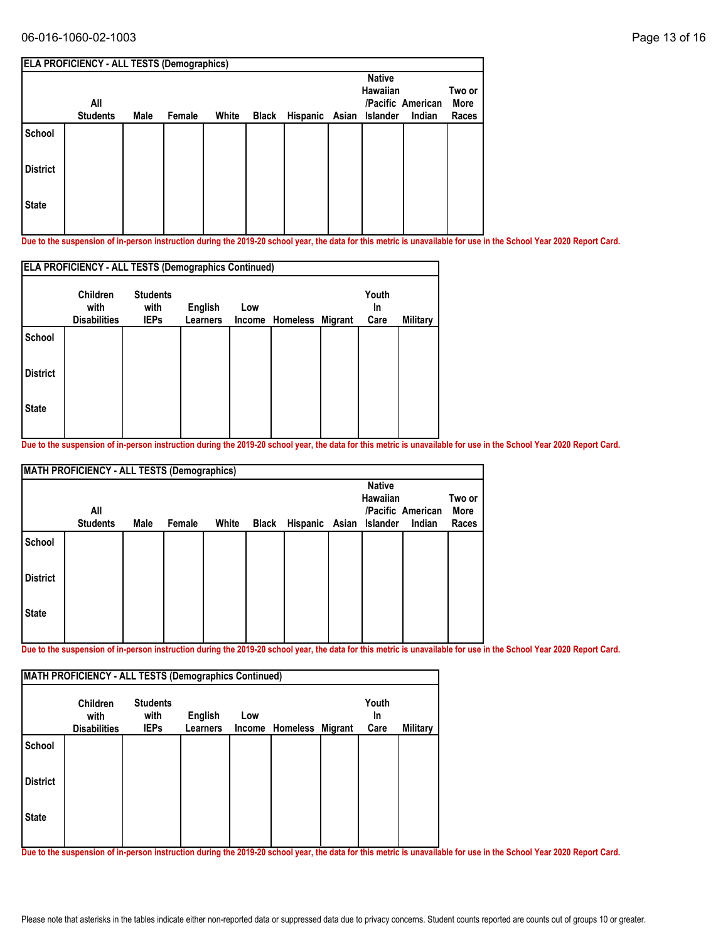| All |                 |      |        |                                                            |              | <b>Native</b>  |                             | Two or<br>More<br>Races     |
|-----|-----------------|------|--------|------------------------------------------------------------|--------------|----------------|-----------------------------|-----------------------------|
|     |                 |      |        |                                                            |              |                |                             |                             |
|     |                 |      |        |                                                            |              |                |                             |                             |
|     |                 |      |        |                                                            |              |                |                             |                             |
|     | <b>Students</b> | Male | Female | <b>ELA PROFICIENCY - ALL TESTS (Demographics)</b><br>White | <b>Black</b> | Hispanic Asian | <b>Hawaiian</b><br>Islander | /Pacific American<br>Indian |

|                 | <b>ELA PROFICIENCY - ALL TESTS (Demographics Continued)</b> |                                        |                                   |               |          |                |                     |                 |  |  |  |  |
|-----------------|-------------------------------------------------------------|----------------------------------------|-----------------------------------|---------------|----------|----------------|---------------------|-----------------|--|--|--|--|
|                 | Children<br>with<br><b>Disabilities</b>                     | <b>Students</b><br>with<br><b>IEPs</b> | <b>English</b><br><b>Learners</b> | Low<br>Income | Homeless | <b>Migrant</b> | Youth<br>In<br>Care | <b>Military</b> |  |  |  |  |
| <b>School</b>   |                                                             |                                        |                                   |               |          |                |                     |                 |  |  |  |  |
| <b>District</b> |                                                             |                                        |                                   |               |          |                |                     |                 |  |  |  |  |
| <b>State</b>    |                                                             |                                        |                                   |               |          |                |                     |                 |  |  |  |  |
|                 |                                                             |                                        |                                   |               |          |                |                     |                 |  |  |  |  |

**Due to the suspension of in-person instruction during the 2019-20 school year, the data for this metric is unavailable for use in the School Year 2020 Report Card.**

|                 | <b>MATH PROFICIENCY - ALL TESTS (Demographics)</b><br>All |      |        |       |                               | <b>Native</b><br>Hawaiian | /Pacific American | Two or<br>More |
|-----------------|-----------------------------------------------------------|------|--------|-------|-------------------------------|---------------------------|-------------------|----------------|
|                 | <b>Students</b>                                           | Male | Female | White | Black Hispanic Asian Islander |                           | Indian            | Races          |
| School          |                                                           |      |        |       |                               |                           |                   |                |
| <b>District</b> |                                                           |      |        |       |                               |                           |                   |                |
| <b>State</b>    |                                                           |      |        |       |                               |                           |                   |                |
|                 |                                                           |      |        |       |                               |                           |                   |                |

**Due to the suspension of in-person instruction during the 2019-20 school year, the data for this metric is unavailable for use in the School Year 2020 Report Card.**

|                 | <b>Children</b><br>with | <b>Students</b><br>with | <b>English</b>  | Low |                         | Youth<br><b>In</b> |          |
|-----------------|-------------------------|-------------------------|-----------------|-----|-------------------------|--------------------|----------|
|                 | <b>Disabilities</b>     | <b>IEPs</b>             | <b>Learners</b> |     | Income Homeless Migrant | Care               | Military |
| <b>School</b>   |                         |                         |                 |     |                         |                    |          |
| <b>District</b> |                         |                         |                 |     |                         |                    |          |
| <b>State</b>    |                         |                         |                 |     |                         |                    |          |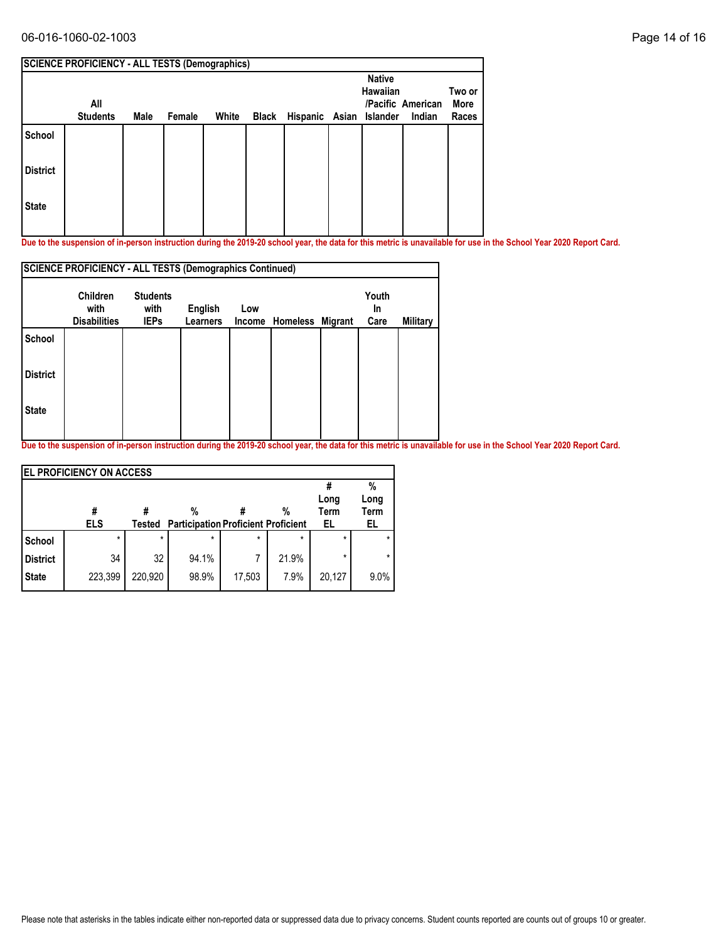## 06-016-1060-02-1003 Page 14 of 16

| All |                 |      |        |       |       |                                                       | <b>Native</b><br><b>Hawaiian</b> | Two or<br>More<br>Races                                |
|-----|-----------------|------|--------|-------|-------|-------------------------------------------------------|----------------------------------|--------------------------------------------------------|
|     |                 |      |        |       |       |                                                       |                                  |                                                        |
|     |                 |      |        |       |       |                                                       |                                  |                                                        |
|     |                 |      |        |       |       |                                                       |                                  |                                                        |
|     | <b>Students</b> | Male | Female | White | Black | <b>SCIENCE PROFICIENCY - ALL TESTS (Demographics)</b> |                                  | /Pacific American<br>Hispanic Asian Islander<br>Indian |

**Due to the suspension of in-person instruction during the 2019-20 school year, the data for this metric is unavailable for use in the School Year 2020 Report Card.**

|                 | <b>SCIENCE PROFICIENCY - ALL TESTS (Demographics Continued)</b> |                                        |                            |     |                         |  |                     |          |  |  |  |  |
|-----------------|-----------------------------------------------------------------|----------------------------------------|----------------------------|-----|-------------------------|--|---------------------|----------|--|--|--|--|
|                 | <b>Children</b><br>with<br><b>Disabilities</b>                  | <b>Students</b><br>with<br><b>IEPs</b> | English<br><b>Learners</b> | Low | Income Homeless Migrant |  | Youth<br>In<br>Care | Military |  |  |  |  |
| <b>School</b>   |                                                                 |                                        |                            |     |                         |  |                     |          |  |  |  |  |
| <b>District</b> |                                                                 |                                        |                            |     |                         |  |                     |          |  |  |  |  |
| <b>State</b>    |                                                                 |                                        |                            |     |                         |  |                     |          |  |  |  |  |
|                 |                                                                 |                                        |                            |     |                         |  |                     |          |  |  |  |  |

|                 | <b>EL PROFICIENCY ON ACCESS</b> |         |                                            |         |         |             |         |
|-----------------|---------------------------------|---------|--------------------------------------------|---------|---------|-------------|---------|
|                 |                                 |         |                                            |         |         |             | %       |
|                 |                                 |         |                                            |         |         | Long        | Long    |
|                 | #                               |         | %                                          |         | %       | <b>Term</b> | Term    |
|                 | <b>ELS</b>                      | Tested  | <b>Participation Proficient Proficient</b> |         |         | EL          | EL      |
| School          | $\star$                         | $\star$ | $\star$                                    | $\star$ | $\star$ | $\star$     |         |
| <b>District</b> | 34                              | 32      | 94.1%                                      | 7       | 21.9%   | *           | $\star$ |
| <b>State</b>    | 223,399                         | 220,920 | 98.9%                                      | 17,503  | 7.9%    | 20,127      | 9.0%    |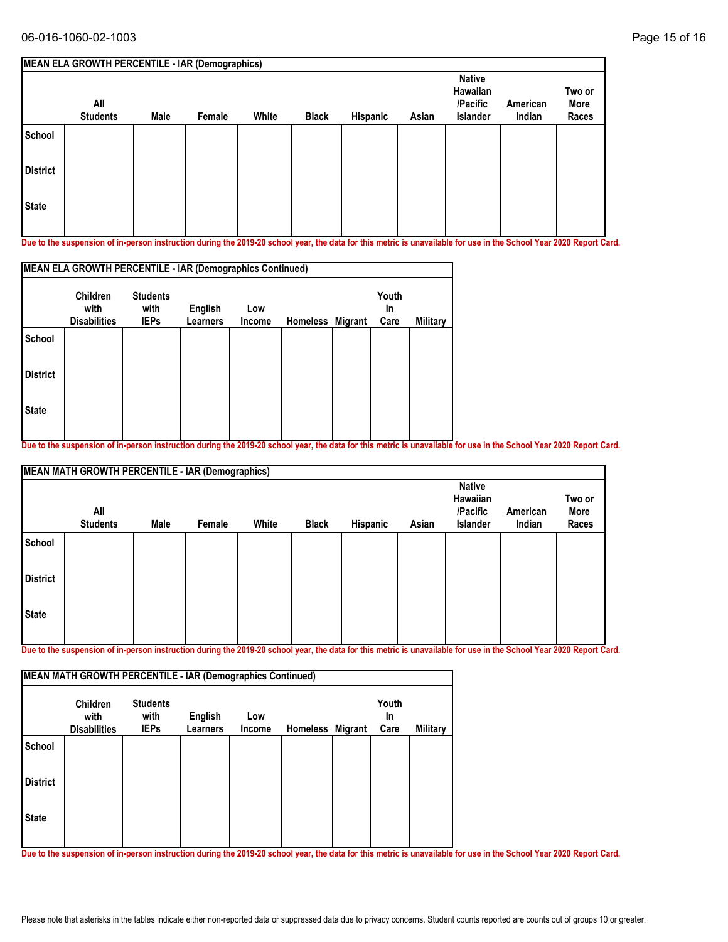|                 | MEAN ELA GROWTH PERCENTILE - IAR (Demographics) |      |        |       |              |          |       |                                                          |                    |                         |
|-----------------|-------------------------------------------------|------|--------|-------|--------------|----------|-------|----------------------------------------------------------|--------------------|-------------------------|
|                 | All<br><b>Students</b>                          | Male | Female | White | <b>Black</b> | Hispanic | Asian | <b>Native</b><br>Hawaiian<br>/Pacific<br><b>Islander</b> | American<br>Indian | Two or<br>More<br>Races |
| School          |                                                 |      |        |       |              |          |       |                                                          |                    |                         |
| <b>District</b> |                                                 |      |        |       |              |          |       |                                                          |                    |                         |
| <b>State</b>    |                                                 |      |        |       |              |          |       |                                                          |                    |                         |
|                 |                                                 |      |        |       |              |          |       |                                                          |                    |                         |

| MEAN ELA GROWTH PERCENTILE - IAR (Demographics Continued) |                         |                         |                 |        |                 |         |             |          |  |  |  |
|-----------------------------------------------------------|-------------------------|-------------------------|-----------------|--------|-----------------|---------|-------------|----------|--|--|--|
|                                                           | <b>Children</b><br>with | <b>Students</b><br>with | English         | Low    |                 |         | Youth<br>In |          |  |  |  |
|                                                           | <b>Disabilities</b>     | <b>IEPs</b>             | <b>Learners</b> | Income | <b>Homeless</b> | Migrant | Care        | Military |  |  |  |
| School                                                    |                         |                         |                 |        |                 |         |             |          |  |  |  |
| <b>District</b>                                           |                         |                         |                 |        |                 |         |             |          |  |  |  |
| <b>State</b>                                              |                         |                         |                 |        |                 |         |             |          |  |  |  |
|                                                           |                         |                         |                 |        |                 |         |             |          |  |  |  |

**Due to the suspension of in-person instruction during the 2019-20 school year, the data for this metric is unavailable for use in the School Year 2020 Report Card.**

|                 | <b>MEAN MATH GROWTH PERCENTILE - IAR (Demographics)</b> |      |        |       |              |          |       |                                                   |                    |                         |  |  |
|-----------------|---------------------------------------------------------|------|--------|-------|--------------|----------|-------|---------------------------------------------------|--------------------|-------------------------|--|--|
|                 | All<br><b>Students</b>                                  | Male | Female | White | <b>Black</b> | Hispanic | Asian | <b>Native</b><br>Hawaiian<br>/Pacific<br>Islander | American<br>Indian | Two or<br>More<br>Races |  |  |
| School          |                                                         |      |        |       |              |          |       |                                                   |                    |                         |  |  |
| <b>District</b> |                                                         |      |        |       |              |          |       |                                                   |                    |                         |  |  |
| <b>State</b>    |                                                         |      |        |       |              |          |       |                                                   |                    |                         |  |  |

**Due to the suspension of in-person instruction during the 2019-20 school year, the data for this metric is unavailable for use in the School Year 2020 Report Card.**

| MEAN MATH GROWTH PERCENTILE - IAR (Demographics Continued) |                                                |                                        |                            |               |                  |  |                            |                 |
|------------------------------------------------------------|------------------------------------------------|----------------------------------------|----------------------------|---------------|------------------|--|----------------------------|-----------------|
|                                                            | <b>Children</b><br>with<br><b>Disabilities</b> | <b>Students</b><br>with<br><b>IEPs</b> | English<br><b>Learners</b> | Low<br>Income | Homeless Migrant |  | Youth<br><b>In</b><br>Care | <b>Military</b> |
| <b>School</b>                                              |                                                |                                        |                            |               |                  |  |                            |                 |
| <b>District</b>                                            |                                                |                                        |                            |               |                  |  |                            |                 |
| <b>State</b>                                               |                                                |                                        |                            |               |                  |  |                            |                 |
|                                                            |                                                |                                        |                            |               |                  |  |                            |                 |